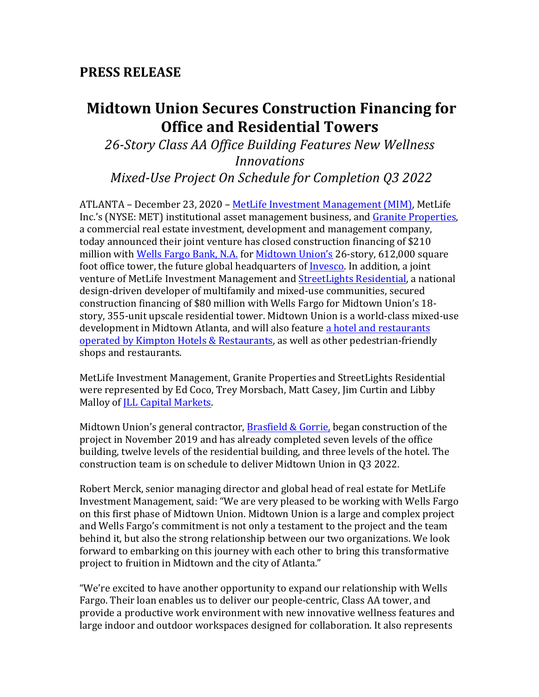# **Midtown Union Secures Construction Financing for Office and Residential Towers**

*26-Story Class AA Office Building Features New Wellness Innovations Mixed-Use Project On Schedule for Completion Q3 2022*

ATLANTA – December 23, 2020 – MetLife Investment Management (MIM), MetLife Inc.'s (NYSE: MET) institutional asset management business, and Granite Properties, a commercial real estate investment, development and management company, today announced their joint venture has closed construction financing of \$210 million with Wells Fargo Bank, N.A. for Midtown Union's 26-story, 612,000 square foot office tower, the future global headquarters of Invesco. In addition, a joint venture of MetLife Investment Management and StreetLights Residential, a national design-driven developer of multifamily and mixed-use communities, secured construction financing of \$80 million with Wells Fargo for Midtown Union's 18story, 355-unit upscale residential tower. Midtown Union is a world-class mixed-use development in Midtown Atlanta, and will also feature a hotel and restaurants operated by Kimpton Hotels & Restaurants, as well as other pedestrian-friendly shops and restaurants.

MetLife Investment Management, Granite Properties and StreetLights Residential were represented by Ed Coco, Trey Morsbach, Matt Casey, Jim Curtin and Libby Malloy of *JLL* Capital Markets.

Midtown Union's general contractor, Brasfield & Gorrie, began construction of the project in November 2019 and has already completed seven levels of the office building, twelve levels of the residential building, and three levels of the hotel. The construction team is on schedule to deliver Midtown Union in Q3 2022.

Robert Merck, senior managing director and global head of real estate for MetLife Investment Management, said: "We are very pleased to be working with Wells Fargo on this first phase of Midtown Union. Midtown Union is a large and complex project and Wells Fargo's commitment is not only a testament to the project and the team behind it, but also the strong relationship between our two organizations. We look forward to embarking on this journey with each other to bring this transformative project to fruition in Midtown and the city of Atlanta."

"We're excited to have another opportunity to expand our relationship with Wells Fargo. Their loan enables us to deliver our people-centric, Class AA tower, and provide a productive work environment with new innovative wellness features and large indoor and outdoor workspaces designed for collaboration. It also represents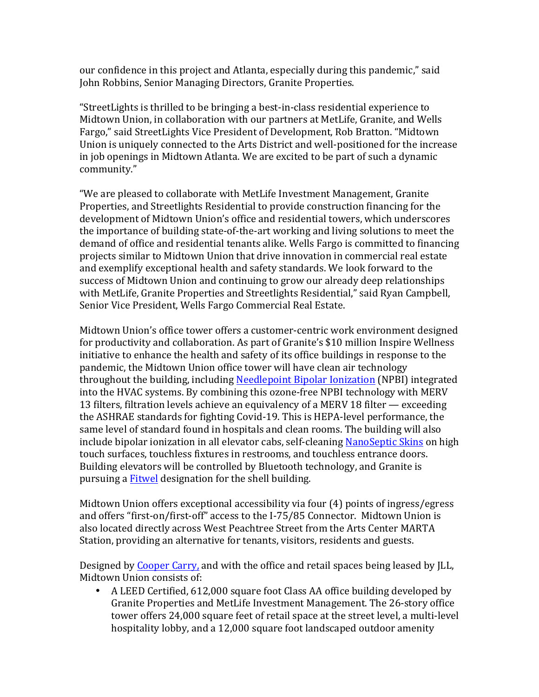our confidence in this project and Atlanta, especially during this pandemic," said John Robbins, Senior Managing Directors, Granite Properties.

"StreetLights is thrilled to be bringing a best-in-class residential experience to Midtown Union, in collaboration with our partners at MetLife, Granite, and Wells Fargo," said StreetLights Vice President of Development, Rob Bratton. "Midtown Union is uniquely connected to the Arts District and well-positioned for the increase in job openings in Midtown Atlanta. We are excited to be part of such a dynamic community."

"We are pleased to collaborate with MetLife Investment Management, Granite Properties, and Streetlights Residential to provide construction financing for the development of Midtown Union's office and residential towers, which underscores the importance of building state-of-the-art working and living solutions to meet the demand of office and residential tenants alike. Wells Fargo is committed to financing projects similar to Midtown Union that drive innovation in commercial real estate and exemplify exceptional health and safety standards. We look forward to the success of Midtown Union and continuing to grow our already deep relationships with MetLife, Granite Properties and Streetlights Residential," said Ryan Campbell, Senior Vice President, Wells Fargo Commercial Real Estate.

Midtown Union's office tower offers a customer-centric work environment designed for productivity and collaboration. As part of Granite's \$10 million Inspire Wellness initiative to enhance the health and safety of its office buildings in response to the pandemic, the Midtown Union office tower will have clean air technology throughout the building, including Needlepoint Bipolar Ionization (NPBI) integrated into the HVAC systems. By combining this ozone-free NPBI technology with MERV 13 filters, filtration levels achieve an equivalency of a MERV 18 filter  $-$  exceeding the ASHRAE standards for fighting Covid-19. This is HEPA-level performance, the same level of standard found in hospitals and clean rooms. The building will also include bipolar ionization in all elevator cabs, self-cleaning NanoSeptic Skins on high touch surfaces, touchless fixtures in restrooms, and touchless entrance doors. Building elevators will be controlled by Bluetooth technology, and Granite is pursuing a **Fitwel** designation for the shell building.

Midtown Union offers exceptional accessibility via four  $(4)$  points of ingress/egress and offers "first-on/first-off" access to the I-75/85 Connector. Midtown Union is also located directly across West Peachtree Street from the Arts Center MARTA Station, providing an alternative for tenants, visitors, residents and guests.

Designed by Cooper Carry, and with the office and retail spaces being leased by JLL, Midtown Union consists of:

• A LEED Certified, 612,000 square foot Class AA office building developed by Granite Properties and MetLife Investment Management. The 26-story office tower offers 24,000 square feet of retail space at the street level, a multi-level hospitality lobby, and a 12,000 square foot landscaped outdoor amenity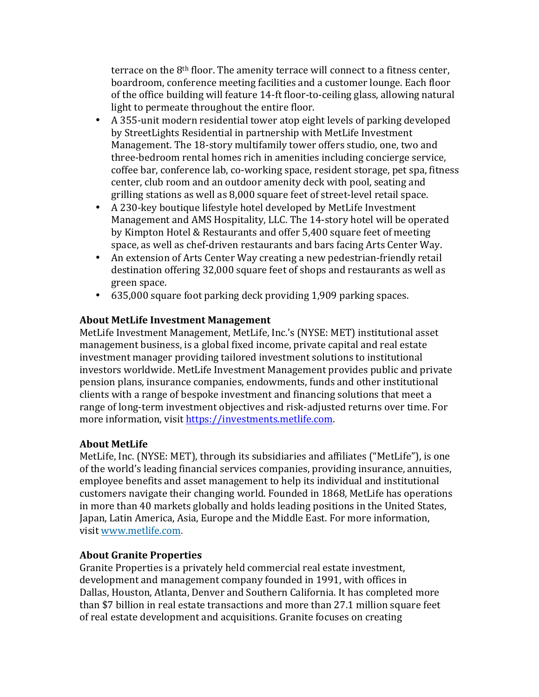terrace on the  $8<sup>th</sup>$  floor. The amenity terrace will connect to a fitness center, boardroom, conference meeting facilities and a customer lounge. Each floor of the office building will feature 14-ft floor-to-ceiling glass, allowing natural light to permeate throughout the entire floor.

- A 355-unit modern residential tower atop eight levels of parking developed by StreetLights Residential in partnership with MetLife Investment Management. The 18-story multifamily tower offers studio, one, two and three-bedroom rental homes rich in amenities including concierge service, coffee bar, conference lab, co-working space, resident storage, pet spa, fitness center, club room and an outdoor amenity deck with pool, seating and grilling stations as well as 8,000 square feet of street-level retail space.
- A 230-key boutique lifestyle hotel developed by MetLife Investment Management and AMS Hospitality, LLC. The 14-story hotel will be operated by Kimpton Hotel & Restaurants and offer 5,400 square feet of meeting space, as well as chef-driven restaurants and bars facing Arts Center Way.
- An extension of Arts Center Way creating a new pedestrian-friendly retail destination offering 32,000 square feet of shops and restaurants as well as green space.
- $\cdot$  635,000 square foot parking deck providing 1,909 parking spaces.

## **About MetLife Investment Management**

MetLife Investment Management, MetLife, Inc.'s (NYSE: MET) institutional asset management business, is a global fixed income, private capital and real estate investment manager providing tailored investment solutions to institutional investors worldwide. MetLife Investment Management provides public and private pension plans, insurance companies, endowments, funds and other institutional clients with a range of bespoke investment and financing solutions that meet a range of long-term investment objectives and risk-adjusted returns over time. For more information, visit https://investments.metlife.com.

## **About MetLife**

MetLife, Inc. (NYSE: MET), through its subsidiaries and affiliates ("MetLife"), is one of the world's leading financial services companies, providing insurance, annuities, employee benefits and asset management to help its individual and institutional customers navigate their changing world. Founded in 1868, MetLife has operations in more than 40 markets globally and holds leading positions in the United States, Japan, Latin America, Asia, Europe and the Middle East. For more information, visit www.metlife.com.

## **About Granite Properties**

Granite Properties is a privately held commercial real estate investment, development and management company founded in 1991, with offices in Dallas, Houston, Atlanta, Denver and Southern California. It has completed more than \$7 billion in real estate transactions and more than 27.1 million square feet of real estate development and acquisitions. Granite focuses on creating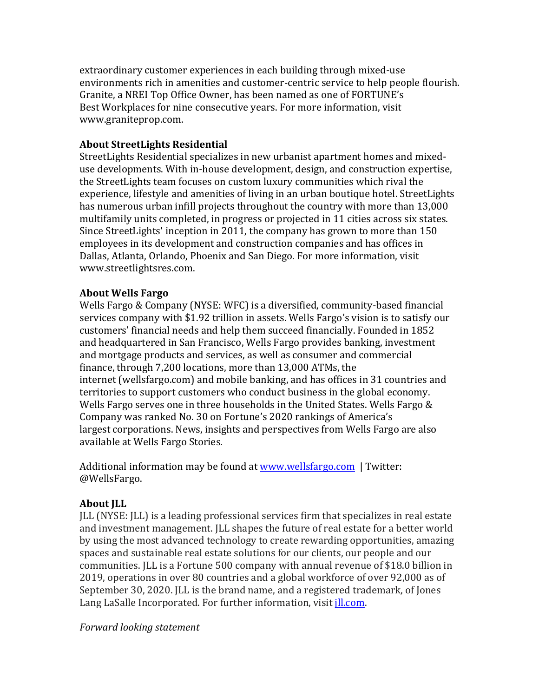extraordinary customer experiences in each building through mixed-use environments rich in amenities and customer-centric service to help people flourish. Granite, a NREI Top Office Owner, has been named as one of FORTUNE's Best Workplaces for nine consecutive years. For more information, visit www.graniteprop.com.

## **About StreetLights Residential**

StreetLights Residential specializes in new urbanist apartment homes and mixeduse developments. With in-house development, design, and construction expertise, the StreetLights team focuses on custom luxury communities which rival the experience, lifestyle and amenities of living in an urban boutique hotel. StreetLights has numerous urban infill projects throughout the country with more than 13,000 multifamily units completed, in progress or projected in 11 cities across six states. Since StreetLights' inception in 2011, the company has grown to more than 150 employees in its development and construction companies and has offices in Dallas, Atlanta, Orlando, Phoenix and San Diego. For more information, visit www.streetlightsres.com.

## **About Wells Fargo**

Wells Fargo & Company (NYSE: WFC) is a diversified, community-based financial services company with \$1.92 trillion in assets. Wells Fargo's vision is to satisfy our customers' financial needs and help them succeed financially. Founded in 1852 and headquartered in San Francisco, Wells Fargo provides banking, investment and mortgage products and services, as well as consumer and commercial finance, through  $7,200$  locations, more than  $13,000$  ATMs, the internet (wellsfargo.com) and mobile banking, and has offices in 31 countries and territories to support customers who conduct business in the global economy. Wells Fargo serves one in three households in the United States. Wells Fargo  $&$ Company was ranked No. 30 on Fortune's 2020 rankings of America's largest corporations. News, insights and perspectives from Wells Fargo are also available at Wells Fargo Stories.

Additional information may be found at www.wellsfargo.com | Twitter: @WellsFargo. 

## **About JLL**

JLL (NYSE: JLL) is a leading professional services firm that specializes in real estate and investment management. JLL shapes the future of real estate for a better world by using the most advanced technology to create rewarding opportunities, amazing spaces and sustainable real estate solutions for our clients, our people and our communities. JLL is a Fortune 500 company with annual revenue of \$18.0 billion in 2019, operations in over 80 countries and a global workforce of over 92,000 as of September 30, 2020. JLL is the brand name, and a registered trademark, of Jones Lang LaSalle Incorporated. For further information, visit jll.com.

## *Forward looking statement*